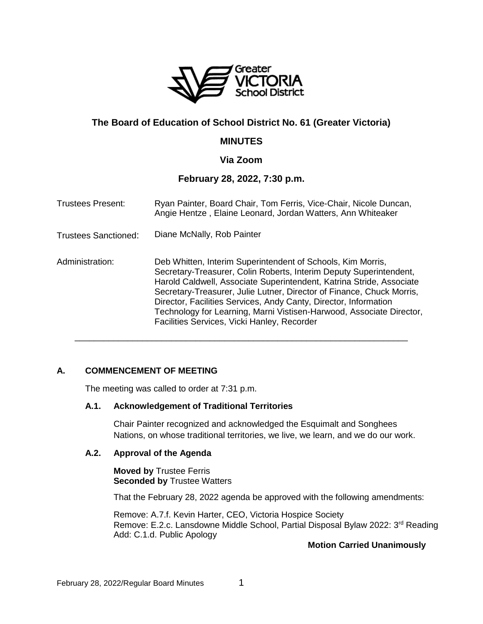

# **The Board of Education of School District No. 61 (Greater Victoria)**

## **MINUTES**

## **Via Zoom**

## **February 28, 2022, 7:30 p.m.**

| <b>Trustees Present:</b> | Ryan Painter, Board Chair, Tom Ferris, Vice-Chair, Nicole Duncan,<br>Angie Hentze, Elaine Leonard, Jordan Watters, Ann Whiteaker<br>Diane McNally, Rob Painter                                                                                                                                                                                                                                                                                                                |  |
|--------------------------|-------------------------------------------------------------------------------------------------------------------------------------------------------------------------------------------------------------------------------------------------------------------------------------------------------------------------------------------------------------------------------------------------------------------------------------------------------------------------------|--|
| Trustees Sanctioned:     |                                                                                                                                                                                                                                                                                                                                                                                                                                                                               |  |
| Administration:          | Deb Whitten, Interim Superintendent of Schools, Kim Morris,<br>Secretary-Treasurer, Colin Roberts, Interim Deputy Superintendent,<br>Harold Caldwell, Associate Superintendent, Katrina Stride, Associate<br>Secretary-Treasurer, Julie Lutner, Director of Finance, Chuck Morris,<br>Director, Facilities Services, Andy Canty, Director, Information<br>Technology for Learning, Marni Vistisen-Harwood, Associate Director,<br>Facilities Services, Vicki Hanley, Recorder |  |

\_\_\_\_\_\_\_\_\_\_\_\_\_\_\_\_\_\_\_\_\_\_\_\_\_\_\_\_\_\_\_\_\_\_\_\_\_\_\_\_\_\_\_\_\_\_\_\_\_\_\_\_\_\_\_\_\_\_\_\_\_\_\_\_\_\_\_\_\_

### **A. COMMENCEMENT OF MEETING**

The meeting was called to order at 7:31 p.m.

### **A.1. Acknowledgement of Traditional Territories**

Chair Painter recognized and acknowledged the Esquimalt and Songhees Nations, on whose traditional territories, we live, we learn, and we do our work.

### **A.2. Approval of the Agenda**

**Moved by** Trustee Ferris **Seconded by** Trustee Watters

That the February 28, 2022 agenda be approved with the following amendments:

Remove: A.7.f. Kevin Harter, CEO, Victoria Hospice Society Remove: E.2.c. Lansdowne Middle School, Partial Disposal Bylaw 2022: 3<sup>rd</sup> Reading Add: C.1.d. Public Apology

## **Motion Carried Unanimously**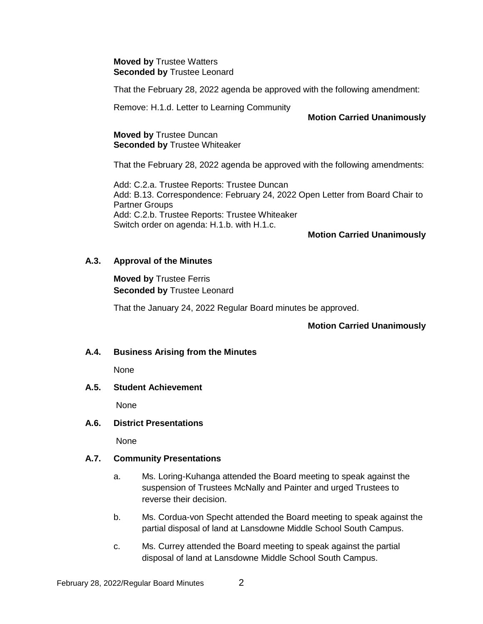#### **Moved by** Trustee Watters **Seconded by** Trustee Leonard

That the February 28, 2022 agenda be approved with the following amendment:

Remove: H.1.d. Letter to Learning Community

### **Motion Carried Unanimously**

### **Moved by** Trustee Duncan **Seconded by** Trustee Whiteaker

That the February 28, 2022 agenda be approved with the following amendments:

Add: C.2.a. Trustee Reports: Trustee Duncan Add: B.13. Correspondence: February 24, 2022 Open Letter from Board Chair to Partner Groups Add: C.2.b. Trustee Reports: Trustee Whiteaker Switch order on agenda: H.1.b. with H.1.c.

## **Motion Carried Unanimously**

### **A.3. Approval of the Minutes**

**Moved by** Trustee Ferris **Seconded by** Trustee Leonard

That the January 24, 2022 Regular Board minutes be approved.

### **Motion Carried Unanimously**

### **A.4. Business Arising from the Minutes**

None

### **A.5. Student Achievement**

None

### **A.6. District Presentations**

None

### **A.7. Community Presentations**

- a. Ms. Loring-Kuhanga attended the Board meeting to speak against the suspension of Trustees McNally and Painter and urged Trustees to reverse their decision.
- b. Ms. Cordua-von Specht attended the Board meeting to speak against the partial disposal of land at Lansdowne Middle School South Campus.
- c. Ms. Currey attended the Board meeting to speak against the partial disposal of land at Lansdowne Middle School South Campus.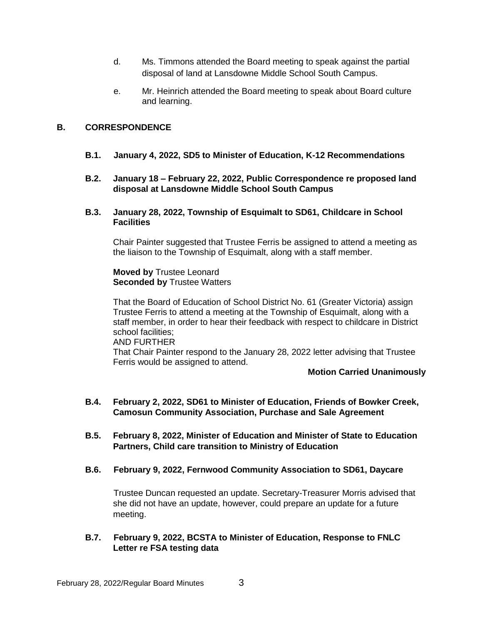- d. Ms. Timmons attended the Board meeting to speak against the partial disposal of land at Lansdowne Middle School South Campus.
- e. Mr. Heinrich attended the Board meeting to speak about Board culture and learning.

## **B. CORRESPONDENCE**

- **B.1. January 4, 2022, SD5 to Minister of Education, K-12 Recommendations**
- **B.2. January 18 – February 22, 2022, Public Correspondence re proposed land disposal at Lansdowne Middle School South Campus**

#### **B.3. January 28, 2022, Township of Esquimalt to SD61, Childcare in School Facilities**

Chair Painter suggested that Trustee Ferris be assigned to attend a meeting as the liaison to the Township of Esquimalt, along with a staff member.

**Moved by** Trustee Leonard **Seconded by** Trustee Watters

That the Board of Education of School District No. 61 (Greater Victoria) assign Trustee Ferris to attend a meeting at the Township of Esquimalt, along with a staff member, in order to hear their feedback with respect to childcare in District school facilities; AND FURTHER That Chair Painter respond to the January 28, 2022 letter advising that Trustee Ferris would be assigned to attend.

#### **Motion Carried Unanimously**

- **B.4. February 2, 2022, SD61 to Minister of Education, Friends of Bowker Creek, Camosun Community Association, Purchase and Sale Agreement**
- **B.5. February 8, 2022, Minister of Education and Minister of State to Education Partners, Child care transition to Ministry of Education**
- **B.6. February 9, 2022, Fernwood Community Association to SD61, Daycare**

Trustee Duncan requested an update. Secretary-Treasurer Morris advised that she did not have an update, however, could prepare an update for a future meeting.

### **B.7. February 9, 2022, BCSTA to Minister of Education, Response to FNLC Letter re FSA testing data**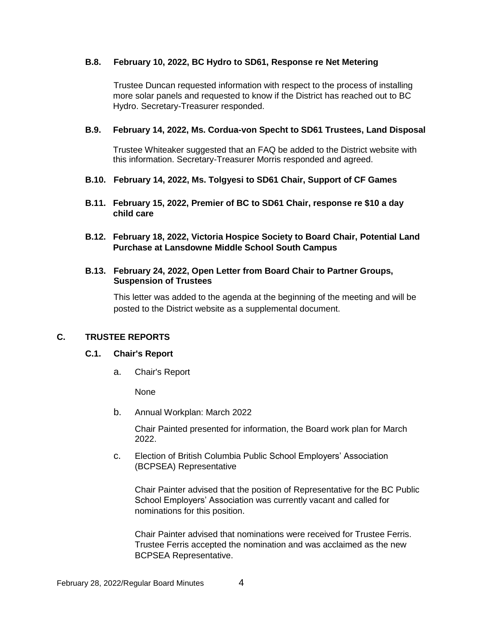### **B.8. February 10, 2022, BC Hydro to SD61, Response re Net Metering**

Trustee Duncan requested information with respect to the process of installing more solar panels and requested to know if the District has reached out to BC Hydro. Secretary-Treasurer responded.

### **B.9. February 14, 2022, Ms. Cordua-von Specht to SD61 Trustees, Land Disposal**

Trustee Whiteaker suggested that an FAQ be added to the District website with this information. Secretary-Treasurer Morris responded and agreed.

- **B.10. February 14, 2022, Ms. Tolgyesi to SD61 Chair, Support of CF Games**
- **B.11. February 15, 2022, Premier of BC to SD61 Chair, response re \$10 a day child care**
- **B.12. February 18, 2022, Victoria Hospice Society to Board Chair, Potential Land Purchase at Lansdowne Middle School South Campus**

#### **B.13. February 24, 2022, Open Letter from Board Chair to Partner Groups, Suspension of Trustees**

This letter was added to the agenda at the beginning of the meeting and will be posted to the District website as a supplemental document.

### **C. TRUSTEE REPORTS**

### **C.1. Chair's Report**

a. Chair's Report

None

b. Annual Workplan: March 2022

Chair Painted presented for information, the Board work plan for March 2022.

c. Election of British Columbia Public School Employers' Association (BCPSEA) Representative

Chair Painter advised that the position of Representative for the BC Public School Employers' Association was currently vacant and called for nominations for this position.

Chair Painter advised that nominations were received for Trustee Ferris. Trustee Ferris accepted the nomination and was acclaimed as the new BCPSEA Representative.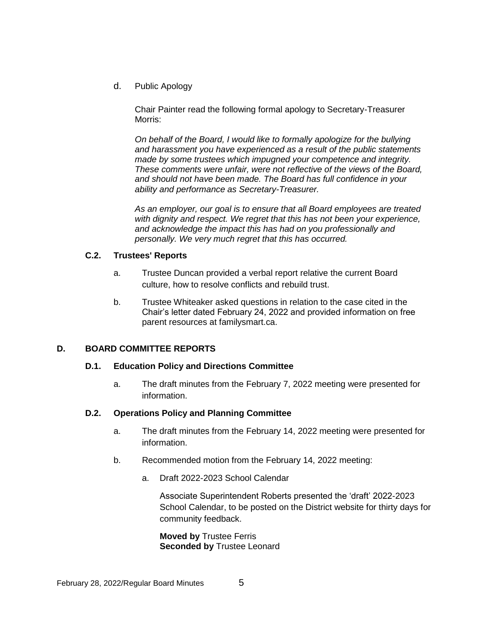d. Public Apology

Chair Painter read the following formal apology to Secretary-Treasurer Morris:

*On behalf of the Board, I would like to formally apologize for the bullying and harassment you have experienced as a result of the public statements made by some trustees which impugned your competence and integrity. These comments were unfair, were not reflective of the views of the Board, and should not have been made. The Board has full confidence in your ability and performance as Secretary-Treasurer.* 

*As an employer, our goal is to ensure that all Board employees are treated with dignity and respect. We regret that this has not been your experience, and acknowledge the impact this has had on you professionally and personally. We very much regret that this has occurred.*

## **C.2. Trustees' Reports**

- a. Trustee Duncan provided a verbal report relative the current Board culture, how to resolve conflicts and rebuild trust.
- b. Trustee Whiteaker asked questions in relation to the case cited in the Chair's letter dated February 24, 2022 and provided information on free parent resources at familysmart.ca.

## **D. BOARD COMMITTEE REPORTS**

### **D.1. Education Policy and Directions Committee**

a. The draft minutes from the February 7, 2022 meeting were presented for information.

### **D.2. Operations Policy and Planning Committee**

- a. The draft minutes from the February 14, 2022 meeting were presented for information.
- b. Recommended motion from the February 14, 2022 meeting:
	- a. Draft 2022-2023 School Calendar

Associate Superintendent Roberts presented the 'draft' 2022-2023 School Calendar, to be posted on the District website for thirty days for community feedback.

**Moved by** Trustee Ferris **Seconded by** Trustee Leonard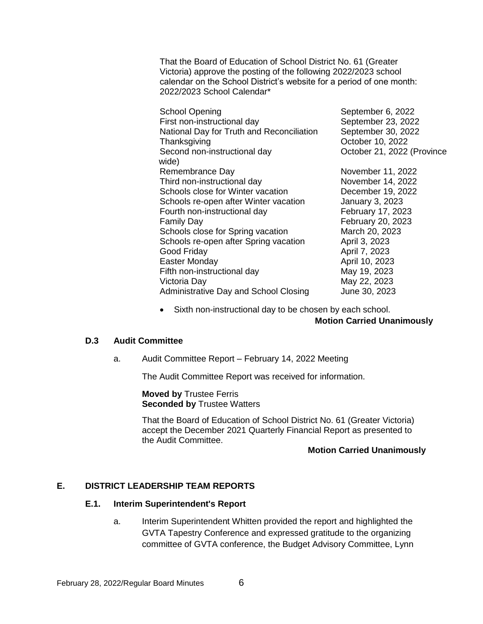That the Board of Education of School District No. 61 (Greater Victoria) approve the posting of the following 2022/2023 school calendar on the School District's website for a period of one month: 2022/2023 School Calendar\*

| <b>School Opening</b>                     | September 6, 2022          |
|-------------------------------------------|----------------------------|
| First non-instructional day               | September 23, 2022         |
| National Day for Truth and Reconciliation | September 30, 2022         |
| Thanksgiving                              | October 10, 2022           |
| Second non-instructional day<br>wide)     | October 21, 2022 (Province |
| Remembrance Day                           | November 11, 2022          |
| Third non-instructional day               | November 14, 2022          |
| Schools close for Winter vacation         | December 19, 2022          |
| Schools re-open after Winter vacation     | January 3, 2023            |
| Fourth non-instructional day              | February 17, 2023          |
| <b>Family Day</b>                         | February 20, 2023          |
| Schools close for Spring vacation         | March 20, 2023             |
| Schools re-open after Spring vacation     | April 3, 2023              |
| Good Friday                               | April 7, 2023              |
| Easter Monday                             | April 10, 2023             |
| Fifth non-instructional day               | May 19, 2023               |
| Victoria Day                              | May 22, 2023               |
| Administrative Day and School Closing     | June 30, 2023              |
|                                           |                            |

• Sixth non-instructional day to be chosen by each school.

#### **Motion Carried Unanimously**

#### **D.3 Audit Committee**

a. Audit Committee Report – February 14, 2022 Meeting

The Audit Committee Report was received for information.

**Moved by** Trustee Ferris **Seconded by Trustee Watters** 

That the Board of Education of School District No. 61 (Greater Victoria) accept the December 2021 Quarterly Financial Report as presented to the Audit Committee.

#### **Motion Carried Unanimously**

### **E. DISTRICT LEADERSHIP TEAM REPORTS**

### **E.1. Interim Superintendent's Report**

a. Interim Superintendent Whitten provided the report and highlighted the GVTA Tapestry Conference and expressed gratitude to the organizing committee of GVTA conference, the Budget Advisory Committee, Lynn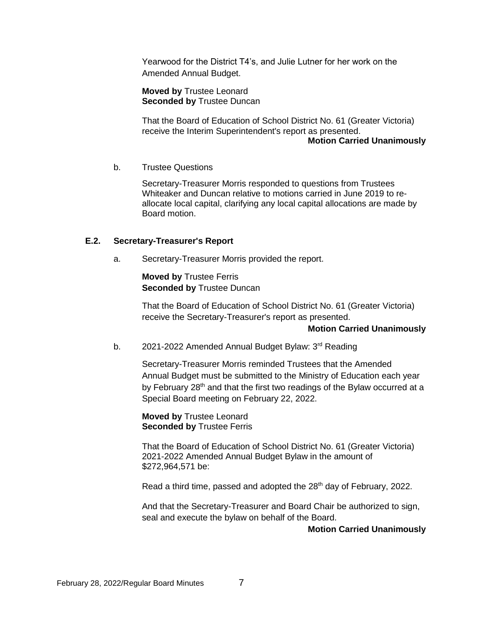Yearwood for the District T4's, and Julie Lutner for her work on the Amended Annual Budget.

**Moved by** Trustee Leonard **Seconded by** Trustee Duncan

That the Board of Education of School District No. 61 (Greater Victoria) receive the Interim Superintendent's report as presented.

### **Motion Carried Unanimously**

b. Trustee Questions

Secretary-Treasurer Morris responded to questions from Trustees Whiteaker and Duncan relative to motions carried in June 2019 to reallocate local capital, clarifying any local capital allocations are made by Board motion.

### **E.2. Secretary-Treasurer's Report**

a. Secretary-Treasurer Morris provided the report.

**Moved by** Trustee Ferris **Seconded by** Trustee Duncan

That the Board of Education of School District No. 61 (Greater Victoria) receive the Secretary-Treasurer's report as presented.

### **Motion Carried Unanimously**

b. 2021-2022 Amended Annual Budget Bylaw: 3<sup>rd</sup> Reading

Secretary-Treasurer Morris reminded Trustees that the Amended Annual Budget must be submitted to the Ministry of Education each year by February 28<sup>th</sup> and that the first two readings of the Bylaw occurred at a Special Board meeting on February 22, 2022.

**Moved by** Trustee Leonard **Seconded by** Trustee Ferris

That the Board of Education of School District No. 61 (Greater Victoria) 2021-2022 Amended Annual Budget Bylaw in the amount of \$272,964,571 be:

Read a third time, passed and adopted the 28<sup>th</sup> day of February, 2022.

And that the Secretary-Treasurer and Board Chair be authorized to sign, seal and execute the bylaw on behalf of the Board.

**Motion Carried Unanimously**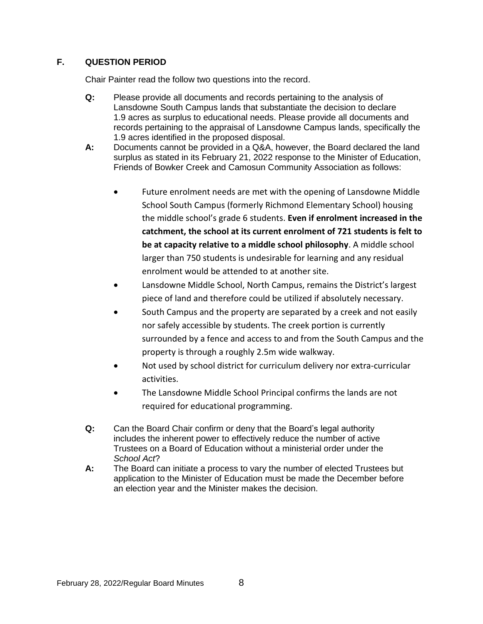## **F. QUESTION PERIOD**

Chair Painter read the follow two questions into the record.

- **Q:** Please provide all documents and records pertaining to the analysis of Lansdowne South Campus lands that substantiate the decision to declare 1.9 acres as surplus to educational needs. Please provide all documents and records pertaining to the appraisal of Lansdowne Campus lands, specifically the 1.9 acres identified in the proposed disposal.
- **A:** Documents cannot be provided in a Q&A, however, the Board declared the land surplus as stated in its February 21, 2022 response to the Minister of Education, Friends of Bowker Creek and Camosun Community Association as follows:
	- Future enrolment needs are met with the opening of Lansdowne Middle School South Campus (formerly Richmond Elementary School) housing the middle school's grade 6 students. **Even if enrolment increased in the catchment, the school at its current enrolment of 721 students is felt to be at capacity relative to a middle school philosophy**. A middle school larger than 750 students is undesirable for learning and any residual enrolment would be attended to at another site.
	- Lansdowne Middle School, North Campus, remains the District's largest piece of land and therefore could be utilized if absolutely necessary.
	- South Campus and the property are separated by a creek and not easily nor safely accessible by students. The creek portion is currently surrounded by a fence and access to and from the South Campus and the property is through a roughly 2.5m wide walkway.
	- Not used by school district for curriculum delivery nor extra-curricular activities.
	- The Lansdowne Middle School Principal confirms the lands are not required for educational programming.
- **Q:** Can the Board Chair confirm or deny that the Board's legal authority includes the inherent power to effectively reduce the number of active Trustees on a Board of Education without a ministerial order under the *School Act*?
- **A:** The Board can initiate a process to vary the number of elected Trustees but application to the Minister of Education must be made the December before an election year and the Minister makes the decision.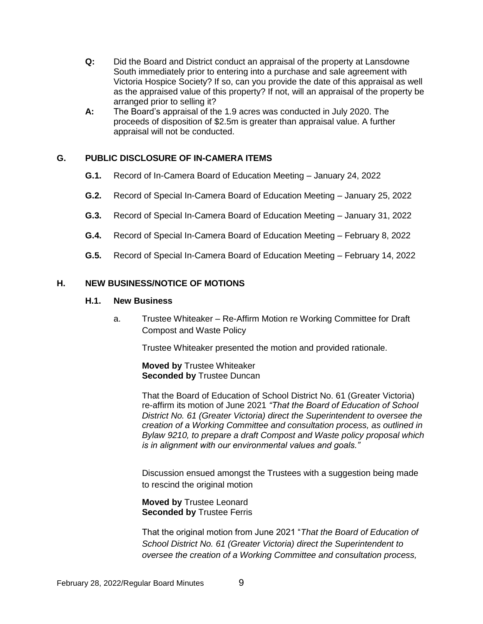- **Q:** Did the Board and District conduct an appraisal of the property at Lansdowne South immediately prior to entering into a purchase and sale agreement with Victoria Hospice Society? If so, can you provide the date of this appraisal as well as the appraised value of this property? If not, will an appraisal of the property be arranged prior to selling it?
- **A:** The Board's appraisal of the 1.9 acres was conducted in July 2020. The proceeds of disposition of \$2.5m is greater than appraisal value. A further appraisal will not be conducted.

## **G. PUBLIC DISCLOSURE OF IN-CAMERA ITEMS**

- **G.1.** Record of In-Camera Board of Education Meeting January 24, 2022
- **G.2.** Record of Special In-Camera Board of Education Meeting January 25, 2022
- **G.3.** Record of Special In-Camera Board of Education Meeting January 31, 2022
- **G.4.** Record of Special In-Camera Board of Education Meeting February 8, 2022
- **G.5.** Record of Special In-Camera Board of Education Meeting February 14, 2022

#### **H. NEW BUSINESS/NOTICE OF MOTIONS**

#### **H.1. New Business**

a. Trustee Whiteaker – Re-Affirm Motion re Working Committee for Draft Compost and Waste Policy

Trustee Whiteaker presented the motion and provided rationale.

**Moved by** Trustee Whiteaker **Seconded by Trustee Duncan** 

That the Board of Education of School District No. 61 (Greater Victoria) re-affirm its motion of June 2021 *"That the Board of Education of School District No. 61 (Greater Victoria) direct the Superintendent to oversee the creation of a Working Committee and consultation process, as outlined in Bylaw 9210, to prepare a draft Compost and Waste policy proposal which is in alignment with our environmental values and goals."*

Discussion ensued amongst the Trustees with a suggestion being made to rescind the original motion

#### **Moved by** Trustee Leonard **Seconded by** Trustee Ferris

That the original motion from June 2021 "*That the Board of Education of School District No. 61 (Greater Victoria) direct the Superintendent to oversee the creation of a Working Committee and consultation process,*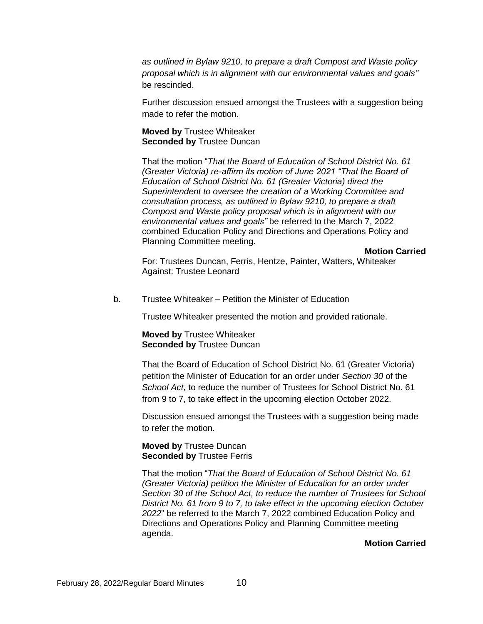*as outlined in Bylaw 9210, to prepare a draft Compost and Waste policy proposal which is in alignment with our environmental values and goals"* be rescinded.

Further discussion ensued amongst the Trustees with a suggestion being made to refer the motion.

**Moved by** Trustee Whiteaker **Seconded by** Trustee Duncan

That the motion "*That the Board of Education of School District No. 61 (Greater Victoria) re-affirm its motion of June 2021 "That the Board of Education of School District No. 61 (Greater Victoria) direct the Superintendent to oversee the creation of a Working Committee and consultation process, as outlined in Bylaw 9210, to prepare a draft Compost and Waste policy proposal which is in alignment with our environmental values and goals"* be referred to the March 7, 2022 combined Education Policy and Directions and Operations Policy and Planning Committee meeting.

**Motion Carried**

For: Trustees Duncan, Ferris, Hentze, Painter, Watters, Whiteaker Against: Trustee Leonard

b. Trustee Whiteaker – Petition the Minister of Education

Trustee Whiteaker presented the motion and provided rationale.

**Moved by** Trustee Whiteaker **Seconded by** Trustee Duncan

That the Board of Education of School District No. 61 (Greater Victoria) petition the Minister of Education for an order under *Section 30* of the *School Act,* to reduce the number of Trustees for School District No. 61 from 9 to 7, to take effect in the upcoming election October 2022.

Discussion ensued amongst the Trustees with a suggestion being made to refer the motion.

**Moved by** Trustee Duncan **Seconded by** Trustee Ferris

That the motion "*That the Board of Education of School District No. 61 (Greater Victoria) petition the Minister of Education for an order under Section 30 of the School Act, to reduce the number of Trustees for School District No. 61 from 9 to 7, to take effect in the upcoming election October 2022*" be referred to the March 7, 2022 combined Education Policy and Directions and Operations Policy and Planning Committee meeting agenda.

**Motion Carried**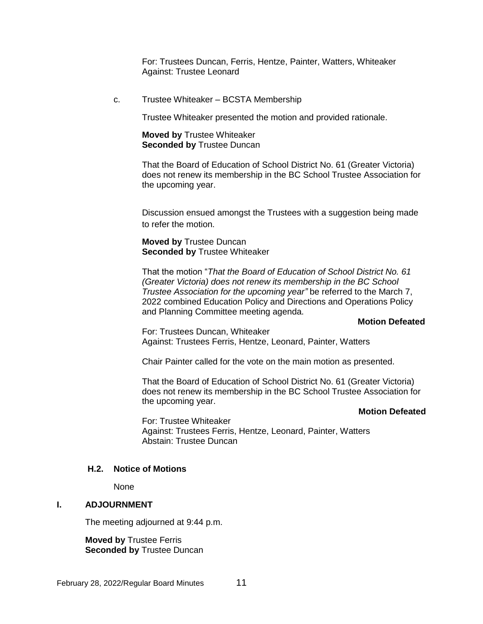For: Trustees Duncan, Ferris, Hentze, Painter, Watters, Whiteaker Against: Trustee Leonard

c. Trustee Whiteaker – BCSTA Membership

Trustee Whiteaker presented the motion and provided rationale.

**Moved by** Trustee Whiteaker **Seconded by** Trustee Duncan

That the Board of Education of School District No. 61 (Greater Victoria) does not renew its membership in the BC School Trustee Association for the upcoming year.

Discussion ensued amongst the Trustees with a suggestion being made to refer the motion.

**Moved by** Trustee Duncan **Seconded by** Trustee Whiteaker

That the motion "*That the Board of Education of School District No. 61 (Greater Victoria) does not renew its membership in the BC School Trustee Association for the upcoming year"* be referred to the March 7, 2022 combined Education Policy and Directions and Operations Policy and Planning Committee meeting agenda.

#### **Motion Defeated**

For: Trustees Duncan, Whiteaker Against: Trustees Ferris, Hentze, Leonard, Painter, Watters

Chair Painter called for the vote on the main motion as presented.

That the Board of Education of School District No. 61 (Greater Victoria) does not renew its membership in the BC School Trustee Association for the upcoming year.

#### **Motion Defeated**

For: Trustee Whiteaker Against: Trustees Ferris, Hentze, Leonard, Painter, Watters Abstain: Trustee Duncan

#### **H.2. Notice of Motions**

None

#### **I. ADJOURNMENT**

The meeting adjourned at 9:44 p.m.

**Moved by** Trustee Ferris **Seconded by** Trustee Duncan